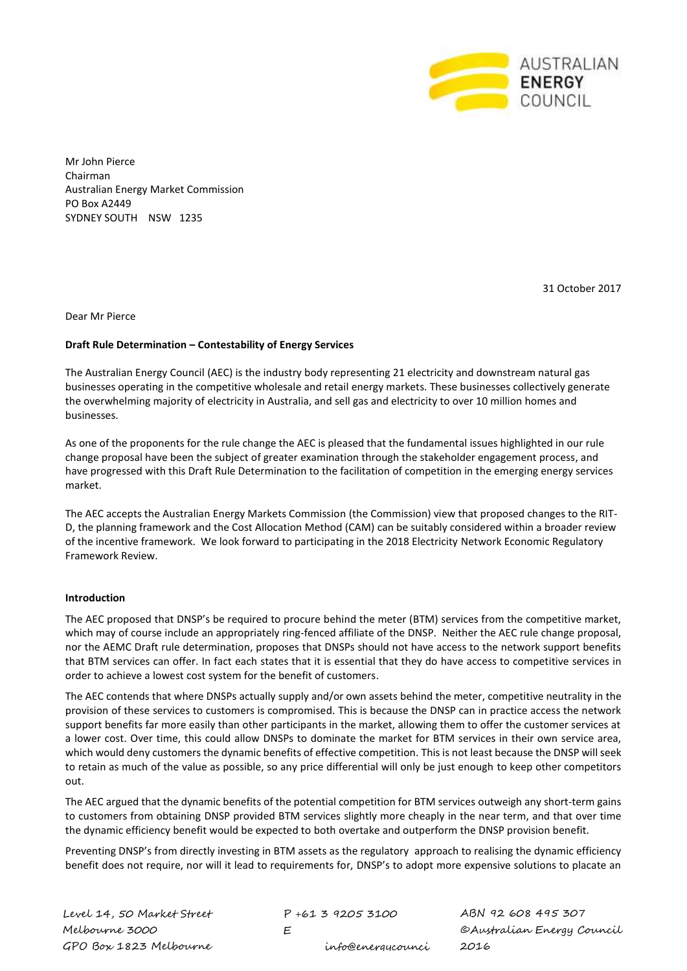

Mr John Pierce Chairman Australian Energy Market Commission PO Box A2449 SYDNEY SOUTH NSW 1235

31 October 2017

Dear Mr Pierce

# **Draft Rule Determination – Contestability of Energy Services**

The Australian Energy Council (AEC) is the industry body representing 21 electricity and downstream natural gas businesses operating in the competitive wholesale and retail energy markets. These businesses collectively generate the overwhelming majority of electricity in Australia, and sell gas and electricity to over 10 million homes and businesses.

As one of the proponents for the rule change the AEC is pleased that the fundamental issues highlighted in our rule change proposal have been the subject of greater examination through the stakeholder engagement process, and have progressed with this Draft Rule Determination to the facilitation of competition in the emerging energy services market.

The AEC accepts the Australian Energy Markets Commission (the Commission) view that proposed changes to the RIT-D, the planning framework and the Cost Allocation Method (CAM) can be suitably considered within a broader review of the incentive framework. We look forward to participating in the 2018 Electricity Network Economic Regulatory Framework Review.

# **Introduction**

The AEC proposed that DNSP's be required to procure behind the meter (BTM) services from the competitive market, which may of course include an appropriately ring-fenced affiliate of the DNSP. Neither the AEC rule change proposal, nor the AEMC Draft rule determination, proposes that DNSPs should not have access to the network support benefits that BTM services can offer. In fact each states that it is essential that they do have access to competitive services in order to achieve a lowest cost system for the benefit of customers.

The AEC contends that where DNSPs actually supply and/or own assets behind the meter, competitive neutrality in the provision of these services to customers is compromised. This is because the DNSP can in practice access the network support benefits far more easily than other participants in the market, allowing them to offer the customer services at a lower cost. Over time, this could allow DNSPs to dominate the market for BTM services in their own service area, which would deny customers the dynamic benefits of effective competition. This is not least because the DNSP will seek to retain as much of the value as possible, so any price differential will only be just enough to keep other competitors out.

The AEC argued that the dynamic benefits of the potential competition for BTM services outweigh any short-term gains to customers from obtaining DNSP provided BTM services slightly more cheaply in the near term, and that over time the dynamic efficiency benefit would be expected to both overtake and outperform the DNSP provision benefit.

Preventing DNSP's from directly investing in BTM assets as the regulatory approach to realising the dynamic efficiency benefit does not require, nor will it lead to requirements for, DNSP's to adopt more expensive solutions to placate an

P +61 3 9205 3100  $\mathsf{F}$ info@energycounci ABN 92 608 495 307 ©Australian Energy Council 2016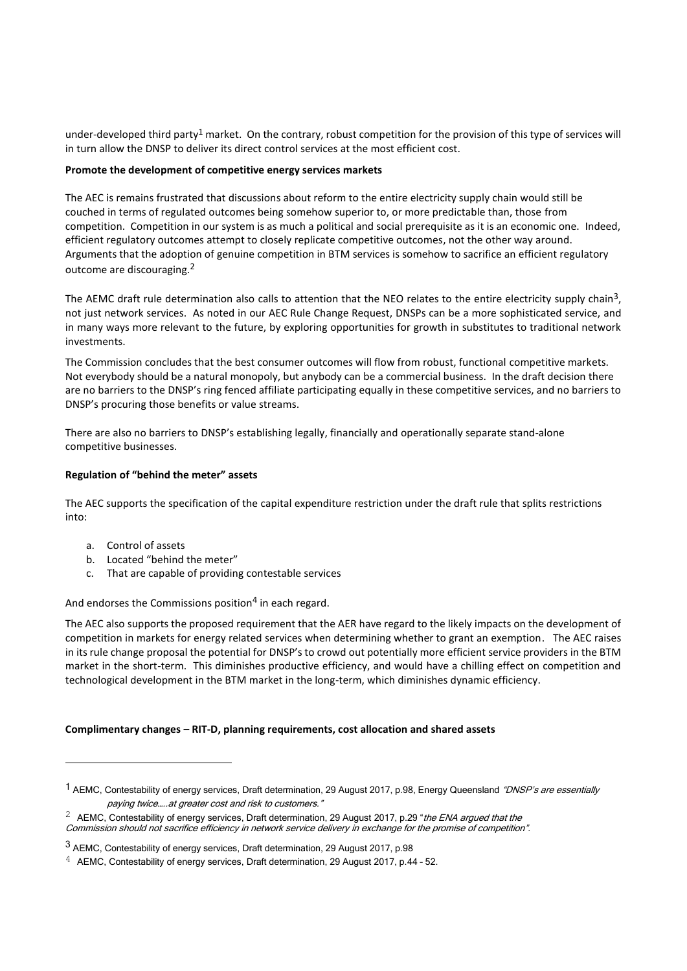under-developed third party<sup>1</sup> market. On the contrary, robust competition for the provision of this type of services will in turn allow the DNSP to deliver its direct control services at the most efficient cost.

## **Promote the development of competitive energy services markets**

The AEC is remains frustrated that discussions about reform to the entire electricity supply chain would still be couched in terms of regulated outcomes being somehow superior to, or more predictable than, those from competition. Competition in our system is as much a political and social prerequisite as it is an economic one. Indeed, efficient regulatory outcomes attempt to closely replicate competitive outcomes, not the other way around. Arguments that the adoption of genuine competition in BTM services is somehow to sacrifice an efficient regulatory outcome are discouraging.<sup>2</sup>

The AEMC draft rule determination also calls to attention that the NEO relates to the entire electricity supply chain<sup>3</sup>, not just network services. As noted in our AEC Rule Change Request, DNSPs can be a more sophisticated service, and in many ways more relevant to the future, by exploring opportunities for growth in substitutes to traditional network investments.

The Commission concludes that the best consumer outcomes will flow from robust, functional competitive markets. Not everybody should be a natural monopoly, but anybody can be a commercial business. In the draft decision there are no barriers to the DNSP's ring fenced affiliate participating equally in these competitive services, and no barriers to DNSP's procuring those benefits or value streams.

There are also no barriers to DNSP's establishing legally, financially and operationally separate stand-alone competitive businesses.

# **Regulation of "behind the meter" assets**

The AEC supports the specification of the capital expenditure restriction under the draft rule that splits restrictions into:

a. Control of assets

-

- b. Located "behind the meter"
- c. That are capable of providing contestable services

And endorses the Commissions position<sup>4</sup> in each regard.

The AEC also supports the proposed requirement that the AER have regard to the likely impacts on the development of competition in markets for energy related services when determining whether to grant an exemption. The AEC raises in its rule change proposal the potential for DNSP's to crowd out potentially more efficient service providers in the BTM market in the short-term. This diminishes productive efficiency, and would have a chilling effect on competition and technological development in the BTM market in the long-term, which diminishes dynamic efficiency.

### **Complimentary changes – RIT-D, planning requirements, cost allocation and shared assets**

Commission should not sacrifice efficiency in network service delivery in exchange for the promise of competition".

<sup>&</sup>lt;sup>1</sup> AEMC, Contestability of energy services, Draft determination, 29 August 2017, p.98, Energy Queensland "DNSP's are essentially paying twice…..at greater cost and risk to customers."

<sup>&</sup>lt;sup>2</sup> AEMC, Contestability of energy services, Draft determination, 29 August 2017, p.29 "the ENA argued that the

<sup>3</sup> AEMC, Contestability of energy services, Draft determination, 29 August 2017, p.98

 $4$  AEMC, Contestability of energy services, Draft determination, 29 August 2017, p.44 - 52.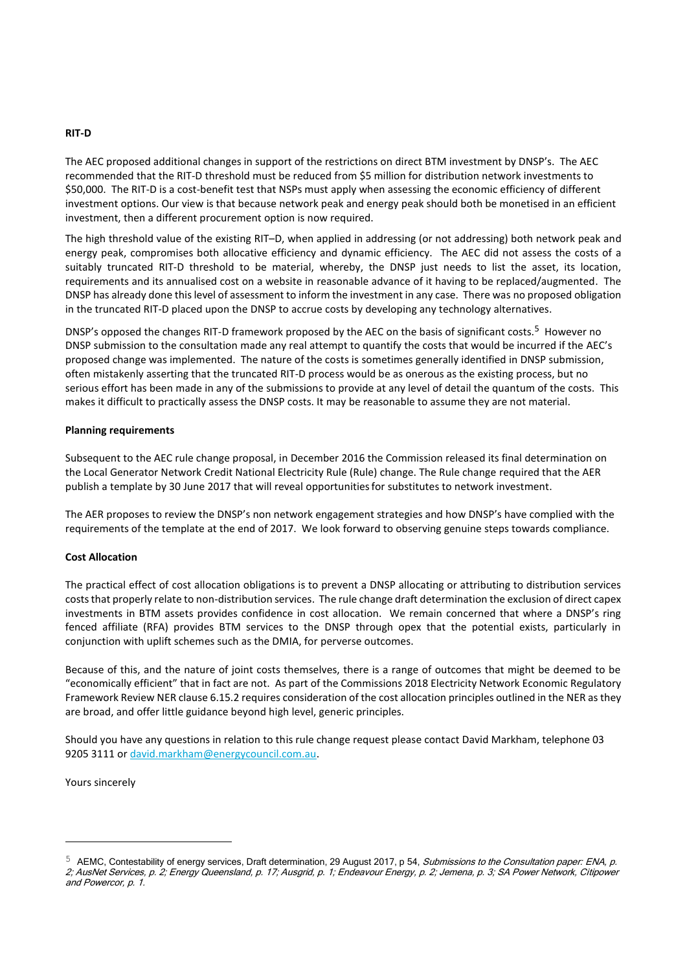## **RIT-D**

The AEC proposed additional changes in support of the restrictions on direct BTM investment by DNSP's. The AEC recommended that the RIT-D threshold must be reduced from \$5 million for distribution network investments to \$50,000. The RIT-D is a cost-benefit test that NSPs must apply when assessing the economic efficiency of different investment options. Our view is that because network peak and energy peak should both be monetised in an efficient investment, then a different procurement option is now required.

The high threshold value of the existing RIT–D, when applied in addressing (or not addressing) both network peak and energy peak, compromises both allocative efficiency and dynamic efficiency. The AEC did not assess the costs of a suitably truncated RIT-D threshold to be material, whereby, the DNSP just needs to list the asset, its location, requirements and its annualised cost on a website in reasonable advance of it having to be replaced/augmented. The DNSP has already done this level of assessment to inform the investment in any case. There was no proposed obligation in the truncated RIT-D placed upon the DNSP to accrue costs by developing any technology alternatives.

DNSP's opposed the changes RIT-D framework proposed by the AEC on the basis of significant costs.<sup>5</sup> However no DNSP submission to the consultation made any real attempt to quantify the costs that would be incurred if the AEC's proposed change was implemented. The nature of the costs is sometimes generally identified in DNSP submission, often mistakenly asserting that the truncated RIT-D process would be as onerous as the existing process, but no serious effort has been made in any of the submissions to provide at any level of detail the quantum of the costs. This makes it difficult to practically assess the DNSP costs. It may be reasonable to assume they are not material.

## **Planning requirements**

Subsequent to the AEC rule change proposal, in December 2016 the Commission released its final determination on the Local Generator Network Credit National Electricity Rule (Rule) change. The Rule change required that the AER publish a template by 30 June 2017 that will reveal opportunitiesfor substitutes to network investment.

The AER proposes to review the DNSP's non network engagement strategies and how DNSP's have complied with the requirements of the template at the end of 2017. We look forward to observing genuine steps towards compliance.

# **Cost Allocation**

The practical effect of cost allocation obligations is to prevent a DNSP allocating or attributing to distribution services costs that properly relate to non-distribution services. The rule change draft determination the exclusion of direct capex investments in BTM assets provides confidence in cost allocation. We remain concerned that where a DNSP's ring fenced affiliate (RFA) provides BTM services to the DNSP through opex that the potential exists, particularly in conjunction with uplift schemes such as the DMIA, for perverse outcomes.

Because of this, and the nature of joint costs themselves, there is a range of outcomes that might be deemed to be "economically efficient" that in fact are not. As part of the Commissions 2018 Electricity Network Economic Regulatory Framework Review NER clause 6.15.2 requires consideration of the cost allocation principles outlined in the NER as they are broad, and offer little guidance beyond high level, generic principles.

Should you have any questions in relation to this rule change request please contact David Markham, telephone 03 9205 3111 or [david.markham@energycouncil.com.au.](mailto:david.markham@energycouncil.com.au)

Yours sincerely

-

<sup>5</sup> AEMC, Contestability of energy services, Draft determination, 29 August 2017, p 54, Submissions to the Consultation paper: ENA, p. 2; AusNet Services, p. 2; Energy Queensland, p. 17; Ausgrid, p. 1; Endeavour Energy, p. 2; Jemena, p. 3; SA Power Network, Citipower and Powercor, p. 1.